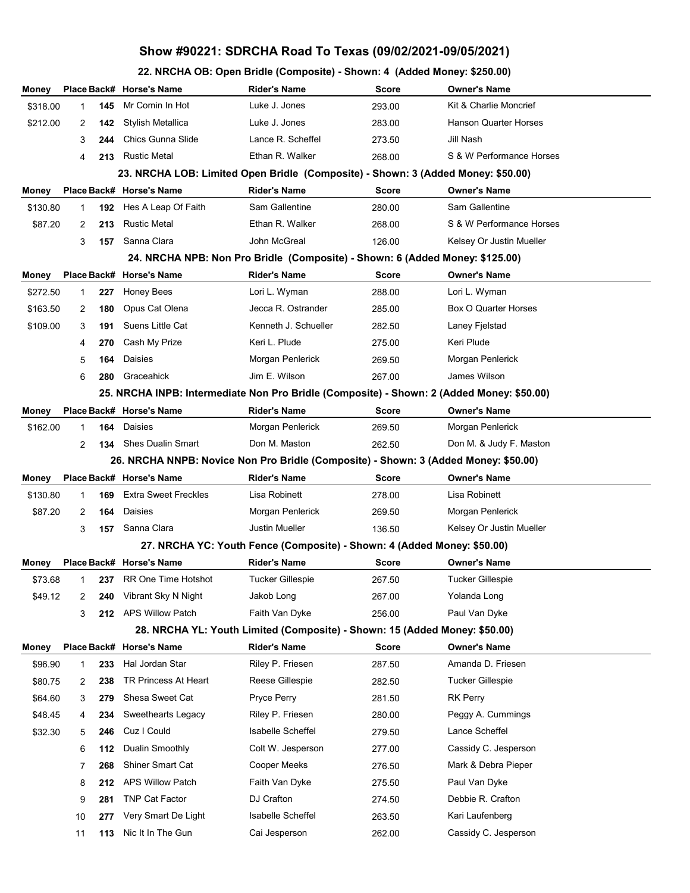## **Show #90221: SDRCHA Road To Texas (09/02/2021-09/05/2021)**

**22. NRCHA OB: Open Bridle (Composite) - Shown: 4 (Added Money: \$250.00)**

| Money                                                                               |                                                                                  |     | Place Back# Horse's Name                                                                  | <b>Rider's Name</b>                                                        | <b>Score</b> | <b>Owner's Name</b>                     |  |  |  |  |  |  |  |
|-------------------------------------------------------------------------------------|----------------------------------------------------------------------------------|-----|-------------------------------------------------------------------------------------------|----------------------------------------------------------------------------|--------------|-----------------------------------------|--|--|--|--|--|--|--|
| \$318.00                                                                            | 1                                                                                | 145 | Mr Comin In Hot                                                                           | Luke J. Jones                                                              | 293.00       | Kit & Charlie Moncrief                  |  |  |  |  |  |  |  |
| \$212.00                                                                            | 2                                                                                | 142 | Stylish Metallica                                                                         | Luke J. Jones                                                              | 283.00       | <b>Hanson Quarter Horses</b>            |  |  |  |  |  |  |  |
|                                                                                     | 3                                                                                | 244 | Chics Gunna Slide                                                                         | Lance R. Scheffel                                                          | 273.50       | Jill Nash                               |  |  |  |  |  |  |  |
|                                                                                     | 4                                                                                | 213 | <b>Rustic Metal</b>                                                                       | Ethan R. Walker                                                            | 268.00       | S & W Performance Horses                |  |  |  |  |  |  |  |
|                                                                                     | 23. NRCHA LOB: Limited Open Bridle (Composite) - Shown: 3 (Added Money: \$50.00) |     |                                                                                           |                                                                            |              |                                         |  |  |  |  |  |  |  |
| Money                                                                               |                                                                                  |     | Place Back# Horse's Name                                                                  | <b>Rider's Name</b>                                                        | <b>Score</b> | <b>Owner's Name</b>                     |  |  |  |  |  |  |  |
| \$130.80                                                                            | 1                                                                                | 192 | Hes A Leap Of Faith                                                                       | Sam Gallentine                                                             | 280.00       | Sam Gallentine                          |  |  |  |  |  |  |  |
| \$87.20                                                                             | 2                                                                                | 213 | <b>Rustic Metal</b>                                                                       | Ethan R. Walker                                                            | 268.00       | S & W Performance Horses                |  |  |  |  |  |  |  |
|                                                                                     | 3                                                                                | 157 | Sanna Clara                                                                               | John McGreal                                                               | 126.00       | Kelsey Or Justin Mueller                |  |  |  |  |  |  |  |
| 24. NRCHA NPB: Non Pro Bridle (Composite) - Shown: 6 (Added Money: \$125.00)        |                                                                                  |     |                                                                                           |                                                                            |              |                                         |  |  |  |  |  |  |  |
| Money                                                                               |                                                                                  |     | Place Back# Horse's Name                                                                  | <b>Rider's Name</b>                                                        | <b>Score</b> | <b>Owner's Name</b>                     |  |  |  |  |  |  |  |
| \$272.50                                                                            | 1                                                                                | 227 | <b>Honey Bees</b>                                                                         | Lori L. Wyman                                                              | 288.00       | Lori L. Wyman                           |  |  |  |  |  |  |  |
| \$163.50                                                                            | 2                                                                                | 180 | Opus Cat Olena                                                                            | Jecca R. Ostrander                                                         | 285.00       | Box O Quarter Horses                    |  |  |  |  |  |  |  |
| \$109.00                                                                            | 3                                                                                | 191 | Suens Little Cat                                                                          | Kenneth J. Schueller                                                       | 282.50       | Laney Fjelstad                          |  |  |  |  |  |  |  |
|                                                                                     | 4                                                                                | 270 | Cash My Prize                                                                             | Keri L. Plude                                                              | 275.00       | Keri Plude                              |  |  |  |  |  |  |  |
|                                                                                     | 5                                                                                | 164 | Daisies                                                                                   | Morgan Penlerick                                                           | 269.50       | Morgan Penlerick                        |  |  |  |  |  |  |  |
|                                                                                     | 6                                                                                | 280 | Graceahick                                                                                | Jim E. Wilson                                                              | 267.00       | James Wilson                            |  |  |  |  |  |  |  |
|                                                                                     |                                                                                  |     | 25. NRCHA INPB: Intermediate Non Pro Bridle (Composite) - Shown: 2 (Added Money: \$50.00) |                                                                            |              |                                         |  |  |  |  |  |  |  |
| Money                                                                               |                                                                                  |     | Place Back# Horse's Name                                                                  | <b>Rider's Name</b>                                                        | <b>Score</b> | <b>Owner's Name</b>                     |  |  |  |  |  |  |  |
| \$162.00                                                                            | 1                                                                                | 164 | Daisies                                                                                   | Morgan Penlerick                                                           | 269.50       | Morgan Penlerick                        |  |  |  |  |  |  |  |
|                                                                                     | 2                                                                                | 134 | <b>Shes Dualin Smart</b>                                                                  | Don M. Maston                                                              | 262.50       | Don M. & Judy F. Maston                 |  |  |  |  |  |  |  |
| 26. NRCHA NNPB: Novice Non Pro Bridle (Composite) - Shown: 3 (Added Money: \$50.00) |                                                                                  |     |                                                                                           |                                                                            |              |                                         |  |  |  |  |  |  |  |
|                                                                                     |                                                                                  |     |                                                                                           |                                                                            |              |                                         |  |  |  |  |  |  |  |
| Money                                                                               |                                                                                  |     | Place Back# Horse's Name                                                                  | <b>Rider's Name</b>                                                        | <b>Score</b> | <b>Owner's Name</b>                     |  |  |  |  |  |  |  |
| \$130.80                                                                            | 1                                                                                | 169 | <b>Extra Sweet Freckles</b>                                                               | Lisa Robinett                                                              | 278.00       | Lisa Robinett                           |  |  |  |  |  |  |  |
| \$87.20                                                                             | 2                                                                                | 164 | Daisies                                                                                   | Morgan Penlerick                                                           | 269.50       | Morgan Penlerick                        |  |  |  |  |  |  |  |
|                                                                                     | 3                                                                                | 157 | Sanna Clara                                                                               | <b>Justin Mueller</b>                                                      | 136.50       | Kelsey Or Justin Mueller                |  |  |  |  |  |  |  |
|                                                                                     |                                                                                  |     |                                                                                           | 27. NRCHA YC: Youth Fence (Composite) - Shown: 4 (Added Money: \$50.00)    |              |                                         |  |  |  |  |  |  |  |
| Money                                                                               |                                                                                  |     | Place Back# Horse's Name                                                                  | <b>Rider's Name</b>                                                        | <b>Score</b> | <b>Owner's Name</b>                     |  |  |  |  |  |  |  |
| \$73.68                                                                             | 1                                                                                |     | 237 RR One Time Hotshot                                                                   | Tucker Gillespie                                                           | 267.50       | <b>Tucker Gillespie</b>                 |  |  |  |  |  |  |  |
| \$49.12                                                                             | 2                                                                                | 240 | Vibrant Sky N Night                                                                       | Jakob Long                                                                 | 267.00       | Yolanda Long                            |  |  |  |  |  |  |  |
|                                                                                     | 3                                                                                | 212 | <b>APS Willow Patch</b>                                                                   | Faith Van Dyke                                                             | 256.00       | Paul Van Dyke                           |  |  |  |  |  |  |  |
|                                                                                     |                                                                                  |     |                                                                                           | 28. NRCHA YL: Youth Limited (Composite) - Shown: 15 (Added Money: \$50.00) |              |                                         |  |  |  |  |  |  |  |
| Money                                                                               |                                                                                  |     | Place Back# Horse's Name                                                                  | <b>Rider's Name</b>                                                        | <b>Score</b> | <b>Owner's Name</b>                     |  |  |  |  |  |  |  |
| \$96.90                                                                             | 1                                                                                | 233 | Hal Jordan Star                                                                           | Riley P. Friesen                                                           | 287.50       | Amanda D. Friesen                       |  |  |  |  |  |  |  |
| \$80.75                                                                             | 2                                                                                | 238 | TR Princess At Heart                                                                      | Reese Gillespie                                                            | 282.50       | Tucker Gillespie                        |  |  |  |  |  |  |  |
| \$64.60                                                                             | 3                                                                                | 279 | Shesa Sweet Cat                                                                           | Pryce Perry                                                                | 281.50       | <b>RK Perry</b>                         |  |  |  |  |  |  |  |
| \$48.45                                                                             | 4                                                                                | 234 | Sweethearts Legacy                                                                        | Riley P. Friesen                                                           | 280.00       | Peggy A. Cummings                       |  |  |  |  |  |  |  |
| \$32.30                                                                             | 5                                                                                | 246 | Cuz I Could                                                                               | Isabelle Scheffel                                                          | 279.50       | Lance Scheffel                          |  |  |  |  |  |  |  |
|                                                                                     | 6                                                                                | 112 | Dualin Smoothly                                                                           | Colt W. Jesperson                                                          | 277.00       | Cassidy C. Jesperson                    |  |  |  |  |  |  |  |
|                                                                                     | 7                                                                                | 268 | <b>Shiner Smart Cat</b>                                                                   | Cooper Meeks                                                               | 276.50       | Mark & Debra Pieper                     |  |  |  |  |  |  |  |
|                                                                                     | 8                                                                                | 212 | <b>APS Willow Patch</b>                                                                   | Faith Van Dyke                                                             | 275.50       | Paul Van Dyke                           |  |  |  |  |  |  |  |
|                                                                                     | 9                                                                                | 281 | <b>TNP Cat Factor</b>                                                                     | DJ Crafton                                                                 | 274.50       | Debbie R. Crafton                       |  |  |  |  |  |  |  |
|                                                                                     | 10                                                                               | 277 | Very Smart De Light<br>Nic It In The Gun                                                  | Isabelle Scheffel<br>Cai Jesperson                                         | 263.50       | Kari Laufenberg<br>Cassidy C. Jesperson |  |  |  |  |  |  |  |